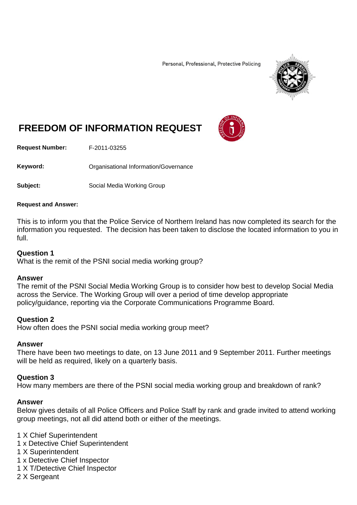Personal, Professional, Protective Policing



# **FREEDOM OF INFORMATION REQUEST**

**Request Number:** F-2011-03255

Keyword: **Communistry Communisties** Organisational Information/Governance

**Subject:** Social Media Working Group

### **Request and Answer:**

This is to inform you that the Police Service of Northern Ireland has now completed its search for the information you requested. The decision has been taken to disclose the located information to you in full.

### **Question 1**

What is the remit of the PSNI social media working group?

### **Answer**

The remit of the PSNI Social Media Working Group is to consider how best to develop Social Media across the Service. The Working Group will over a period of time develop appropriate policy/guidance, reporting via the Corporate Communications Programme Board.

### **Question 2**

How often does the PSNI social media working group meet?

### **Answer**

There have been two meetings to date, on 13 June 2011 and 9 September 2011. Further meetings will be held as required, likely on a quarterly basis.

### **Question 3**

How many members are there of the PSNI social media working group and breakdown of rank?

### **Answer**

Below gives details of all Police Officers and Police Staff by rank and grade invited to attend working group meetings, not all did attend both or either of the meetings.

1 X Chief Superintendent

- 1 x Detective Chief Superintendent
- 1 X Superintendent
- 1 x Detective Chief Inspector
- 1 X T/Detective Chief Inspector
- 2 X Sergeant